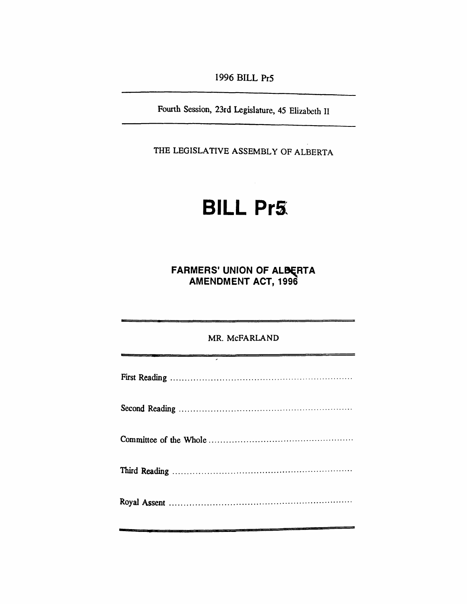*1996 BILL Pr5*

*Fourth Session, 23rd Legislature, 45 Elizabeth II*

*THE LEGISLATIVE ASSEMBLY OF ALBERTA*

# *BILL Pr5*

*FARMERS' UNION OF ALBERTA AMENDMENT ACT, 1996*

| MR. McFARLAND |
|---------------|
|               |
|               |
|               |
|               |
|               |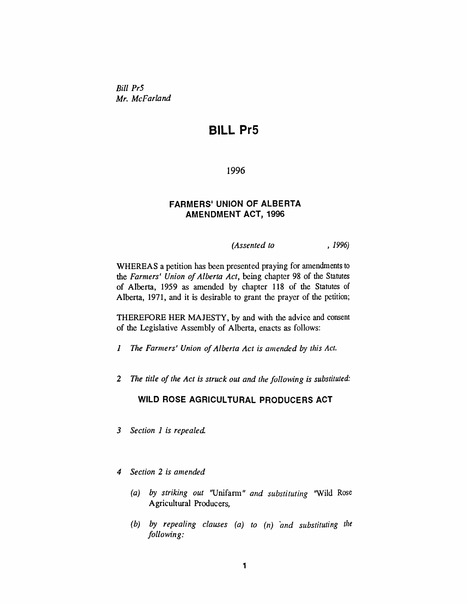*Bill Pr5 Mr. McFarland*

## *BILL Pr5*

*1996*

#### *FARMERS' UNION OF ALBERTA AMENDMENT ACT, 1996*

*(Assented to , 1996)*

*WHEREAS a petition has been presented praying for amendments to the Farmers' Union ofAlberta Act, being chapter 98 of the Statutes of Alberta, 1959 as amended by chapter 118 of the Statutes of Alberta, 1971, and it is desirable to grant the prayer of the petition;*

*THEREFORE HER MAJESTY, by and with the advice and consent of the Legislative Assembly of Alberta, enacts as follows:*

- *<sup>1</sup> The Farmers' Union ofAlberta Act is amended by this Act.*
- *2 The title ofthe Act is struck out and the following is substituted:*

## *WILD ROSE AGRICULTURAL PRODUCERS ACT*

- *3 Section 1 is repealed*
- *4 Section 2 is amended*
	- *(a) by striking out "Unifarm" and substituting "Wild Rose Agricultural Producers,*
	- *(b) by repealing clauses (a) to (n) and substituting the following:*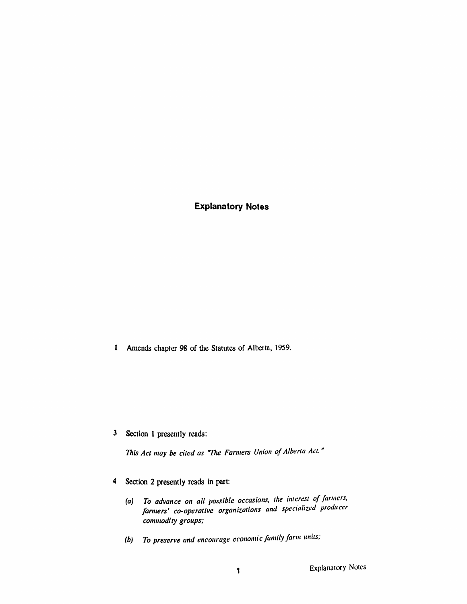*Explanatory Notes*

*<sup>1</sup> Amends chapter 98 of the Statutes of Alberta, 1959.*

*3 Section <sup>1</sup> presently reads:*

*This Act may be cited as "The Farmers Union ofAlberta Act. "*

- *4 Section 2 presently reads in part:*
	- *(a) To advance on all possible occasions, the interest of farmers, farmers' co-operative organizations and specialized producer commodity groups;*
	- *(b) To preserve and encourage economic family farm units;*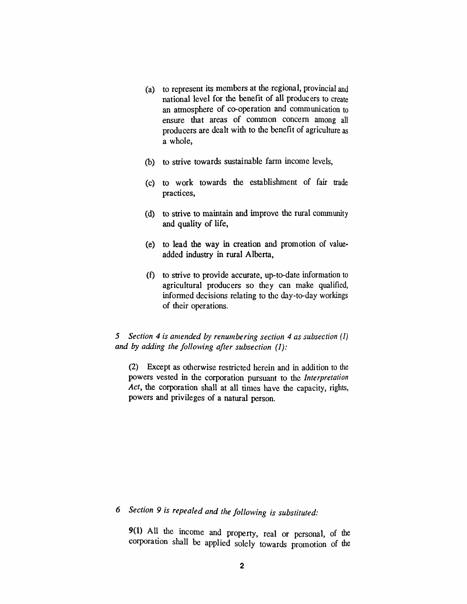- *(a) to represent its members at the regional, provincial and national level for the benefit of all producers to create an atmosphere of co-operation and communication to ensure that areas of common concern among all producers are dealt with to the benefit of agriculture as a whole,*
- *(b) to strive towards sustainable farm income levels,*
- *(c) to work towards the establishment of fair trade practices,*
- *(d) to strive to maintain and improve the rural community and quality of life,*
- *(e) to lead the way in creation and promotion of valueadded industry in rural Alberta,*
- *(f) to strive to provide accurate, up-to-date information to agricultural producers so they can make qualified, informed decisions relating to the day-to-day workings of their operations.*

#### *5 Section 4 is amended by renumbering section 4 as subsection (1) and by adding the following after subsection (J):*

*(2) Except as otherwise restricted herein and in addition to the powers vested in the corporation pursuant to the Interpretation Act, the corporation shall at all times have the capacity, rights, powers and privileges of a natural person.*

# *6 Section 9 is repealed and the following is substituted:*

*9(1) All the income and property, real or personal, of the corporation shall be applied solely towards promotion of the*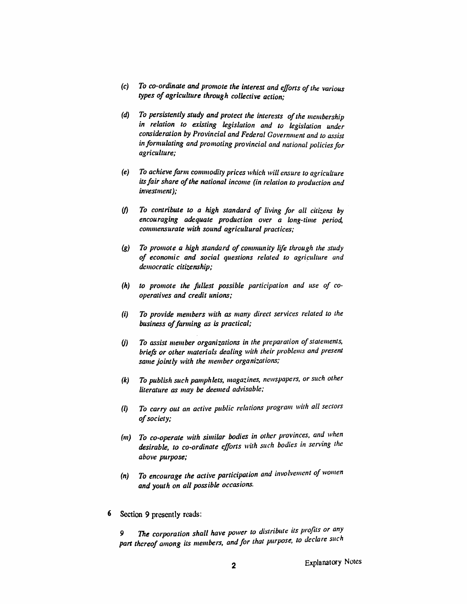- *(c) To co-ordinate and promote the interest and efforts ofthe various types of agriculture through collective action;*
- *(d) To persistently study and protect the interests ofthe membership in relation to existing legislation and to legislation under consideration by Provincial and Federal Government and to assist in formulating and promoting provincial and national policiesfor agriculture;*
- *(e) To achievefarm commodity prices which will ensure to agriculture itsfairshare ofthe national income (in relation to production and investment);*
- *(f) To contribute to a high standard of living for all citizens by encouraging adequate production over a long-time period, commensurate with sound agricultural practices;*
- *(g) To promote a high standard of community life through the study of economic and social questions related to agriculture and democratic citizenship;*
- *(h) to promote the fullest possible participation and use of cooperatives and credit unions;*
- *(i) To provide members with as many direct services related to the business offarming as is practical;*
- *(j) To assist member organizations in the preparation ofstatements, briefs or other materials dealing with their problems and present same jointly with the member organizations;*
- *(k) To publish such pamphlets, magazines, newspapers, or such other literature as may be deemed advisable;*
- *(l) To carry out an active public relations program with all sectors ofsociety;*
- *(m) To co-operate with similar bodies in other provinces, and when desirable, to co-ordinate efforts with such bodies in serving the above purpose;*
- *(n) To encourage the active participation and involvement of women and youth on all possible occasions.*
- *6 Section 9 presently reads:*

*9 The corporation shall have power to distribute its profits or any part thereof among its members, and for that purpose, to declare such*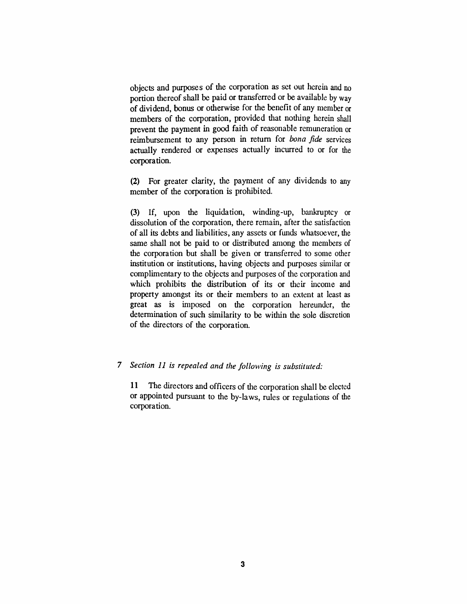*objects and purposes of the corporation as set out herein and no portion thereofshall be paid or transferred or be available by way of dividend, bonus or otherwise for the benefit of any member or members of the corporation, provided that nothing herein shall prevent the payment in good faith of reasonable remuneration or reimbursement to any person in return for bona fide services actually rendered or expenses actually incurred to or for the corporation.*

*(2) For greater clarity, the payment of any dividends to any member of the corporation is prohibited.*

*(3) If, upon the liquidation, winding-up, bankruptcy or dissolution of the corporation, there remain, after the satisfaction of all its debts and liabilities, any assets or funds whatsoever, the same shall not be paid to or distributed among the members of the corporation but shall be given or transferred to some other institution or institutions, having objects and purposes similar or complimentary to the objects and purposes of the corporation and which prohibits the distribution of its or their income and property amongst its or their members to an extent at least as great as is imposed on the corporation hereunder, the determination of such similarity to be within the sole discretion of the directors of the corporation.*

#### *7 Section 11 is repealed and the following is substituted:*

*11 The directors and officers of the corporation shall be elected or appointed pursuant to the by-laws, rules or regulations of the corporation.*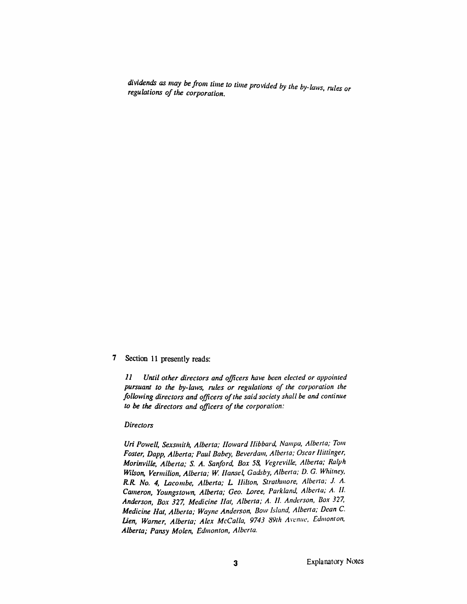*dividends as may be from time to time provided by the by-laws, rules or regulations ofthe corporation.*

#### *7 Section 11 presently reads:*

*11 Until other directors and officers have been elected or appointed pursuant to the by-laws, rules or regulations of the corporation the following directors and officers ofthe said society shall be and continue to be the directors and officers ofthe corporation:*

#### *Directors*

*Uri Powell, Sexsmith, Alberta; Howard Hibbard, Nampa, Alberta; Tom Foster, Dapp, Alberta; Paul Babey, Beverdam, Alberta; Oscar Hittinger, Morinville, Alberta; S. A. Sanford, Box 58, Vegreville, Alberta; Ralph Wilson, Vermilion, Alberta; W. Hansel, Gadsby, Alberta; D. G. Whitney, R.R. No. 4, Lacombe, Alberta; L Hilton, Strathmore, Alberta; J. A. Cameron, Youngstown, Alberta; Geo. Loree, Parkland, Alberta; A. II. Anderson, Box 327, Medicine Hat, Alberta; A. 11. Anderson, Box 377, Medicine Hat, Alberta; Wayne Anderson, Bow Island, Alberta; Dean C. Lien, Warner, Alberta; Alex McCalla, 9743 89th Avenue, Edmonton, Alberta; Pansy Molen, Edmonton, Alberta.*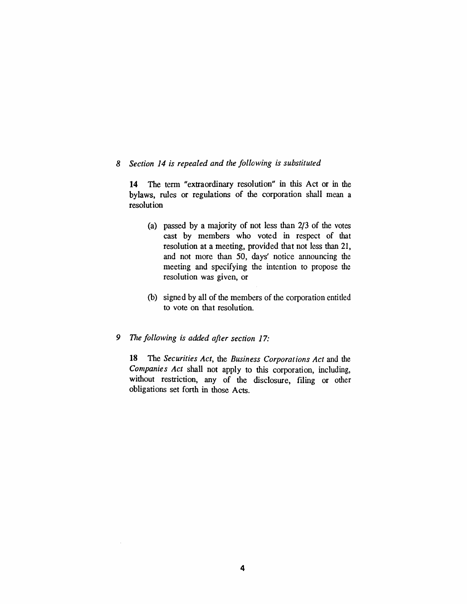#### *8 Section 14 is repealed and the following is substituted*

*14 The term "extraordinary resolution" in this Act or in the bylaws, rules or regulations of the corporation shall mean a resolution*

- *(a) passed by a majority of not less than 2/3 of the votes cast by members who voted in respect of that resolution at a meeting, provided that not less than 21, and not more than 50, days' notice announcing the meeting and specifying the intention to propose the resolution was given, or*
- *(b) signed by all of the members of the corporation entitled to vote on that resolution.*

### *9 The following is added after section 17:*

*18 The Securities Act, the Business Corporations Act and the Companies Act shall not apply to this corporation, including, without restriction, any of the disclosure, filing or other obligations set forth in those Acts.*